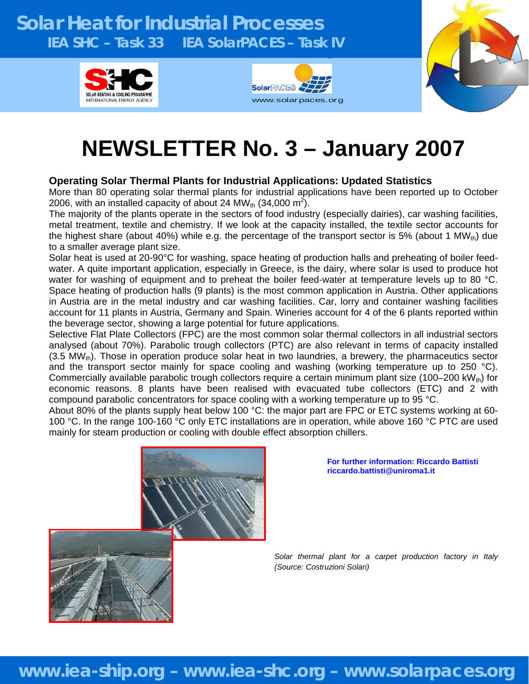### **Solar Heat for Industrial Processes IEA SHC – Task 33 IEA SolarPACES – Task IV**  g







# **NEWSLETTER No. 3 – January 2007**

### **Operating Solar Thermal Plants for Industrial Applications: Updated Statistics**

More than 80 operating solar thermal plants for industrial applications have been reported up to October 2006, with an installed capacity of about 24 MW<sub>th</sub> (34,000 m<sup>2</sup>).

The majority of the plants operate in the sectors of food industry (especially dairies), car washing facilities, metal treatment, textile and chemistry. If we look at the capacity installed, the textile sector accounts for the highest share (about 40%) while e.g. the percentage of the transport sector is 5% (about 1 MW<sub>th</sub>) due to a smaller average plant size.

Solar heat is used at 20-90°C for washing, space heating of production halls and preheating of boiler feedwater. A quite important application, especially in Greece, is the dairy, where solar is used to produce hot water for washing of equipment and to preheat the boiler feed-water at temperature levels up to 80 °C. Space heating of production halls (9 plants) is the most common application in Austria. Other applications in Austria are in the metal industry and car washing facilities. Car, lorry and container washing facilities account for 11 plants in Austria, Germany and Spain. Wineries account for 4 of the 6 plants reported within the beverage sector, showing a large potential for future applications.

Selective Flat Plate Collectors (FPC) are the most common solar thermal collectors in all industrial sectors analysed (about 70%). Parabolic trough collectors (PTC) are also relevant in terms of capacity installed (3.5 MW $_{\text{th}}$ ). Those in operation produce solar heat in two laundries, a brewery, the pharmaceutics sector and the transport sector mainly for space cooling and washing (working temperature up to 250 °C). Commercially available parabolic trough collectors require a certain minimum plant size (100–200 kWth) for economic reasons. 8 plants have been realised with evacuated tube collectors (ETC) and 2 with compound parabolic concentrators for space cooling with a working temperature up to 95 °C.

About 80% of the plants supply heat below 100 °C: the major part are FPC or ETC systems working at 60- 100 °C. In the range 100-160 °C only ETC installations are in operation, while above 160 °C PTC are used mainly for steam production or cooling with double effect absorption chillers.



**For further information: Riccardo Battisti riccardo.battisti@uniroma1.it** 

*Solar thermal plant for a carpet production factory in Italy (Source: Costruzioni Solari)* 

### **www.iea-ship.org – www.iea-shc.org – www.solarpaces.org**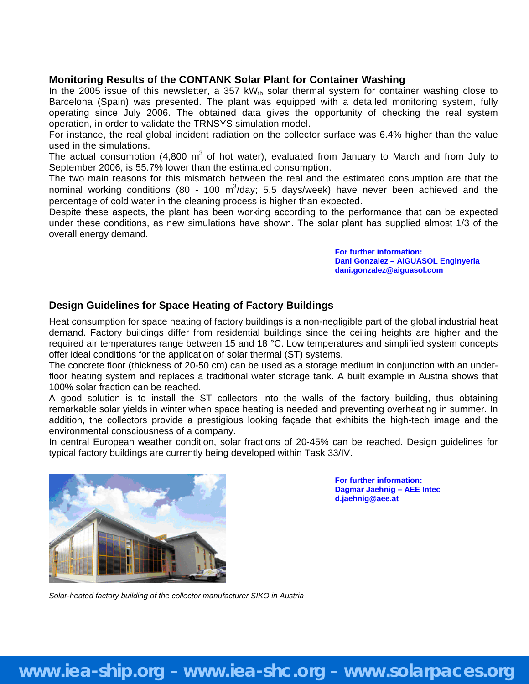### **Monitoring Results of the CONTANK Solar Plant for Container Washing**

In the 2005 issue of this newsletter, a 357 kW<sub>th</sub> solar thermal system for container washing close to Barcelona (Spain) was presented. The plant was equipped with a detailed monitoring system, fully operating since July 2006. The obtained data gives the opportunity of checking the real system operation, in order to validate the TRNSYS simulation model.

For instance, the real global incident radiation on the collector surface was 6.4% higher than the value used in the simulations.

The actual consumption (4,800 m<sup>3</sup> of hot water), evaluated from January to March and from July to September 2006, is 55.7% lower than the estimated consumption.

The two main reasons for this mismatch between the real and the estimated consumption are that the nominal working conditions (80 - 100 m<sup>3</sup>/day; 5.5 days/week) have never been achieved and the percentage of cold water in the cleaning process is higher than expected.

Despite these aspects, the plant has been working according to the performance that can be expected under these conditions, as new simulations have shown. The solar plant has supplied almost 1/3 of the overall energy demand.

> **For further information: Dani Gonzalez – AIGUASOL Enginyeria dani.gonzalez@aiguasol.com**

### **Design Guidelines for Space Heating of Factory Buildings**

Heat consumption for space heating of factory buildings is a non-negligible part of the global industrial heat demand. Factory buildings differ from residential buildings since the ceiling heights are higher and the required air temperatures range between 15 and 18 °C. Low temperatures and simplified system concepts offer ideal conditions for the application of solar thermal (ST) systems.

The concrete floor (thickness of 20-50 cm) can be used as a storage medium in conjunction with an underfloor heating system and replaces a traditional water storage tank. A built example in Austria shows that 100% solar fraction can be reached.

A good solution is to install the ST collectors into the walls of the factory building, thus obtaining remarkable solar yields in winter when space heating is needed and preventing overheating in summer. In addition, the collectors provide a prestigious looking façade that exhibits the high-tech image and the environmental consciousness of a company.

In central European weather condition, solar fractions of 20-45% can be reached. Design guidelines for typical factory buildings are currently being developed within Task 33/IV.



**For further information: Dagmar Jaehnig – AEE Intec d.jaehnig@aee.at** 

*Solar-heated factory building of the collector manufacturer SIKO in Austria*

## **www.iea-ship.org – www.iea-shc.org – www.solarpaces.org**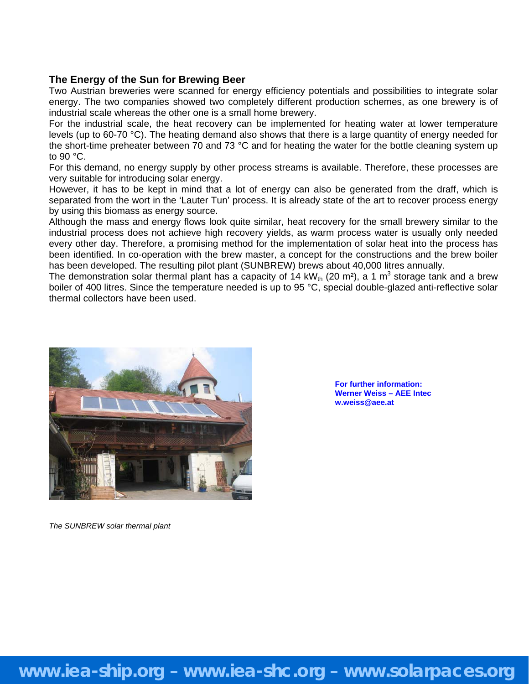### **The Energy of the Sun for Brewing Beer**

Two Austrian breweries were scanned for energy efficiency potentials and possibilities to integrate solar energy. The two companies showed two completely different production schemes, as one brewery is of industrial scale whereas the other one is a small home brewery.

For the industrial scale, the heat recovery can be implemented for heating water at lower temperature levels (up to 60-70 °C). The heating demand also shows that there is a large quantity of energy needed for the short-time preheater between 70 and 73 °C and for heating the water for the bottle cleaning system up to 90 °C.

For this demand, no energy supply by other process streams is available. Therefore, these processes are very suitable for introducing solar energy.

However, it has to be kept in mind that a lot of energy can also be generated from the draff, which is separated from the wort in the 'Lauter Tun' process. It is already state of the art to recover process energy by using this biomass as energy source.

Although the mass and energy flows look quite similar, heat recovery for the small brewery similar to the industrial process does not achieve high recovery yields, as warm process water is usually only needed every other day. Therefore, a promising method for the implementation of solar heat into the process has been identified. In co-operation with the brew master, a concept for the constructions and the brew boiler has been developed. The resulting pilot plant (SUNBREW) brews about 40,000 litres annually.

The demonstration solar thermal plant has a capacity of 14 kW<sub>th</sub> (20 m<sup>2</sup>), a 1 m<sup>3</sup> storage tank and a brew boiler of 400 litres. Since the temperature needed is up to 95 °C, special double-glazed anti-reflective solar thermal collectors have been used.



**For further information: Werner Weiss – AEE Intec w.weiss@aee.at** 

*The SUNBREW solar thermal plant*